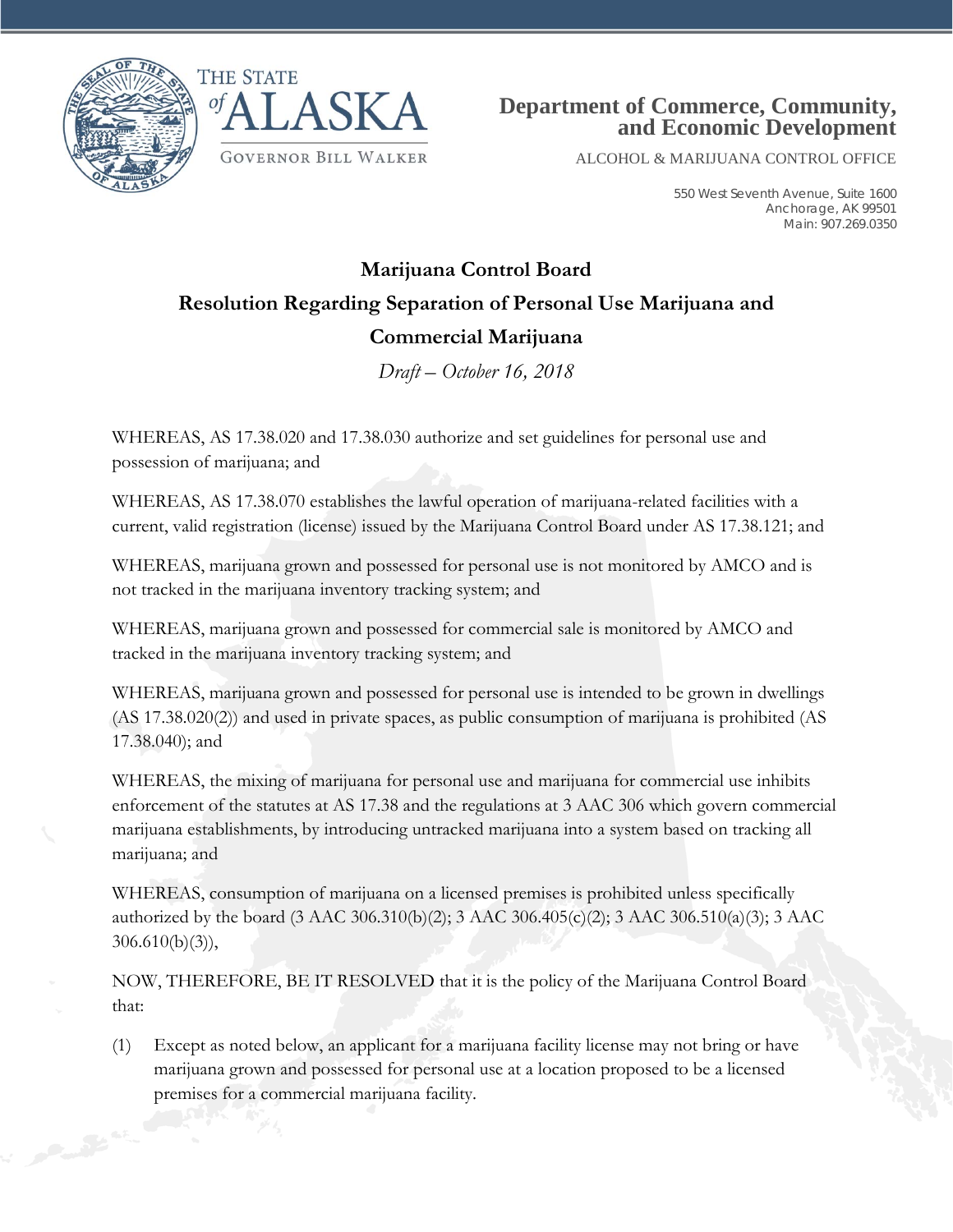



ALCOHOL & MARIJUANA CONTROL OFFICE

550 West Seventh Avenue, Suite 1600 Anchorage, AK 99501 Main: 907.269.0350

## **Marijuana Control Board Resolution Regarding Separation of Personal Use Marijuana and Commercial Marijuana**

*Draft – October 16, 2018*

WHEREAS, AS 17.38.020 and 17.38.030 authorize and set guidelines for personal use and possession of marijuana; and

WHEREAS, AS 17.38.070 establishes the lawful operation of marijuana-related facilities with a current, valid registration (license) issued by the Marijuana Control Board under AS 17.38.121; and

WHEREAS, marijuana grown and possessed for personal use is not monitored by AMCO and is not tracked in the marijuana inventory tracking system; and

WHEREAS, marijuana grown and possessed for commercial sale is monitored by AMCO and tracked in the marijuana inventory tracking system; and

WHEREAS, marijuana grown and possessed for personal use is intended to be grown in dwellings (AS 17.38.020(2)) and used in private spaces, as public consumption of marijuana is prohibited (AS 17.38.040); and

WHEREAS, the mixing of marijuana for personal use and marijuana for commercial use inhibits enforcement of the statutes at AS 17.38 and the regulations at 3 AAC 306 which govern commercial marijuana establishments, by introducing untracked marijuana into a system based on tracking all marijuana; and

WHEREAS, consumption of marijuana on a licensed premises is prohibited unless specifically authorized by the board (3 AAC 306.310(b)(2); 3 AAC 306.405(c)(2); 3 AAC 306.510(a)(3); 3 AAC 306.610(b)(3)),

NOW, THEREFORE, BE IT RESOLVED that it is the policy of the Marijuana Control Board that:

(1) Except as noted below, an applicant for a marijuana facility license may not bring or have marijuana grown and possessed for personal use at a location proposed to be a licensed premises for a commercial marijuana facility.